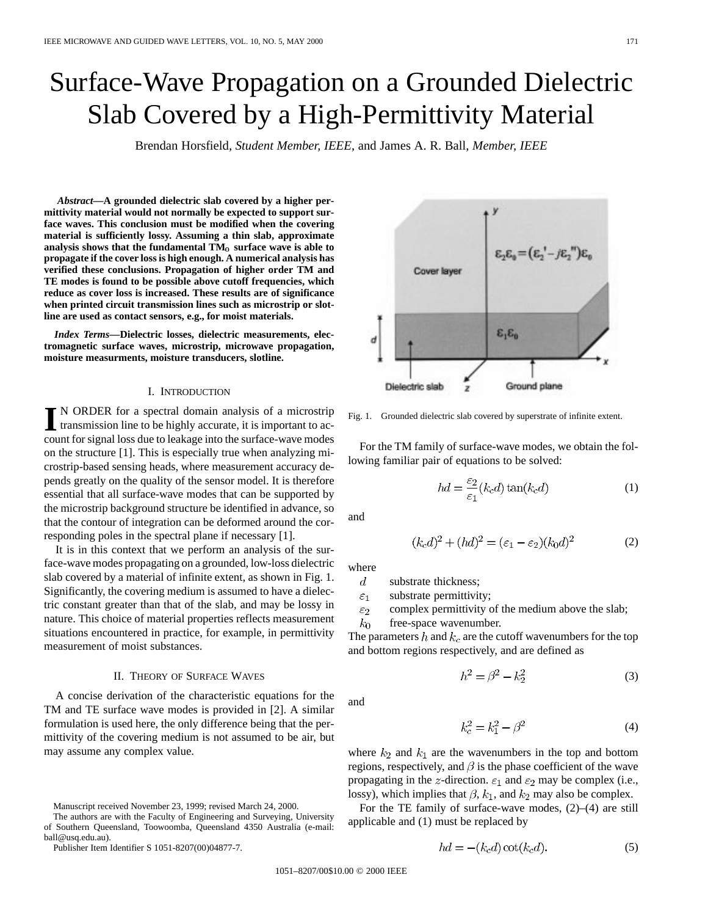# Surface-Wave Propagation on a Grounded Dielectric Slab Covered by a High-Permittivity Material

Brendan Horsfield*, Student Member, IEEE,* and James A. R. Ball*, Member, IEEE*

*Abstract—***A grounded dielectric slab covered by a higher permittivity material would not normally be expected to support surface waves. This conclusion must be modified when the covering material is sufficiently lossy. Assuming a thin slab, approximate** analysis shows that the fundamental  $TM_0$  surface wave is able to **propagate if the cover loss is high enough. A numerical analysis has verified these conclusions. Propagation of higher order TM and TE modes is found to be possible above cutoff frequencies, which reduce as cover loss is increased. These results are of significance when printed circuit transmission lines such as microstrip or slotline are used as contact sensors, e.g., for moist materials.**

*Index Terms—***Dielectric losses, dielectric measurements, electromagnetic surface waves, microstrip, microwave propagation, moisture measurments, moisture transducers, slotline.**

### I. INTRODUCTION

IN ORDER for a spectral domain analysis of a microstrip transmission line to be highly accurate, it is important to account for signal loss due to leakage into the surface-wave modes on the structure [1]. This is especially true when analyzing microstrip-based sensing heads, where measurement accuracy depends greatly on the quality of the sensor model. It is therefore essential that all surface-wave modes that can be supported by the microstrip background structure be identified in advance, so that the contour of integration can be deformed around the corresponding poles in the spectral plane if necessary [1].

It is in this context that we perform an analysis of the surface-wave modes propagating on a grounded, low-loss dielectric slab covered by a material of infinite extent, as shown in Fig. 1. Significantly, the covering medium is assumed to have a dielectric constant greater than that of the slab, and may be lossy in nature. This choice of material properties reflects measurement situations encountered in practice, for example, in permittivity measurement of moist substances.

# II. THEORY OF SURFACE WAVES

A concise derivation of the characteristic equations for the TM and TE surface wave modes is provided in [2]. A similar formulation is used here, the only difference being that the permittivity of the covering medium is not assumed to be air, but may assume any complex value.

Manuscript received November 23, 1999; revised March 24, 2000.

The authors are with the Faculty of Engineering and Surveying, University of Southern Queensland, Toowoomba, Queensland 4350 Australia (e-mail: ball@usq.edu.au).

Publisher Item Identifier S 1051-8207(00)04877-7.



Fig. 1. Grounded dielectric slab covered by superstrate of infinite extent.

For the TM family of surface-wave modes, we obtain the following familiar pair of equations to be solved:

$$
hd = \frac{\varepsilon_2}{\varepsilon_1}(k_c d) \tan(k_c d)
$$
 (1)

and

$$
(2)kcd)2 + (hd)2 = (\varepsilon1 - \varepsilon2)(k0d)2
$$

where

 $\overline{d}$ substrate thickness;

 $\left($ 

 $\varepsilon_1$ substrate permittivity;

 $\varepsilon_2$ complex permittivity of the medium above the slab;

free-space wavenumber.  $k_0$ 

The parameters h and  $k_c$  are the cutoff wavenumbers for the top and bottom regions respectively, and are defined as

$$
h^2 = \beta^2 - k_2^2 \tag{3}
$$

and

$$
k_c^2 = k_1^2 - \beta^2 \tag{4}
$$

where  $k_2$  and  $k_1$  are the wavenumbers in the top and bottom regions, respectively, and  $\beta$  is the phase coefficient of the wave propagating in the z-direction.  $\varepsilon_1$  and  $\varepsilon_2$  may be complex (i.e., lossy), which implies that  $\beta$ ,  $k_1$ , and  $k_2$  may also be complex.

For the TE family of surface-wave modes, (2)–(4) are still applicable and (1) must be replaced by

$$
hd = -(k_c d) \cot(k_c d). \tag{5}
$$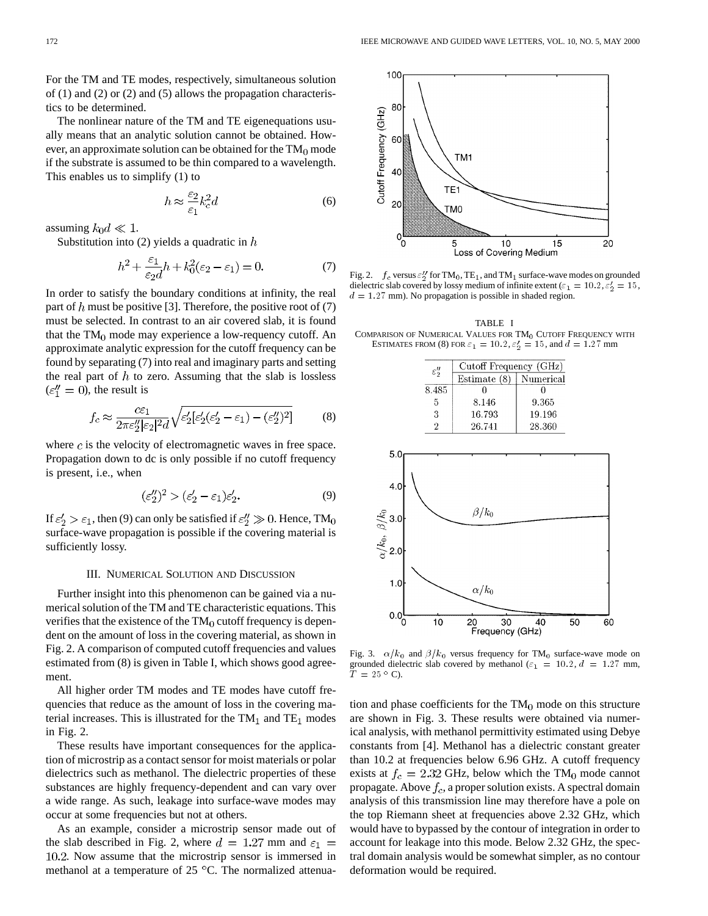For the TM and TE modes, respectively, simultaneous solution of (1) and (2) or (2) and (5) allows the propagation characteristics to be determined.

The nonlinear nature of the TM and TE eigenequations usually means that an analytic solution cannot be obtained. However, an approximate solution can be obtained for the  $TM_0$  mode if the substrate is assumed to be thin compared to a wavelength. This enables us to simplify (1) to

$$
h \approx \frac{\varepsilon_2}{\varepsilon_1} k_c^2 d \tag{6}
$$

assuming  $k_0d \ll 1$ .

Substitution into (2) yields a quadratic in  $h$ 

$$
h^2 + \frac{\varepsilon_1}{\varepsilon_2 d} h + k_0^2 (\varepsilon_2 - \varepsilon_1) = 0.
$$
 (7)

In order to satisfy the boundary conditions at infinity, the real part of h must be positive [3]. Therefore, the positive root of  $(7)$ must be selected. In contrast to an air covered slab, it is found that the  $TM_0$  mode may experience a low-requency cutoff. An approximate analytic expression for the cutoff frequency can be found by separating (7) into real and imaginary parts and setting the real part of  $h$  to zero. Assuming that the slab is lossless  $(\epsilon_1'' = 0)$ , the result is

$$
f_c \approx \frac{c\epsilon_1}{2\pi\epsilon_2''|\epsilon_2|^2 d} \sqrt{\epsilon_2'[\epsilon_2'(\epsilon_2' - \epsilon_1) - (\epsilon_2'')^2]} \tag{8}
$$

where  $c$  is the velocity of electromagnetic waves in free space. Propagation down to dc is only possible if no cutoff frequency is present, i.e., when

$$
(\varepsilon_2'')^2 > (\varepsilon_2' - \varepsilon_1)\varepsilon_2'.\tag{9}
$$

If  $\epsilon_2' > \epsilon_1$ , then (9) can only be satisfied if  $\epsilon_2'' \gg 0$ . Hence, TM<sub>0</sub> surface-wave propagation is possible if the covering material is sufficiently lossy.

## III. NUMERICAL SOLUTION AND DISCUSSION

Further insight into this phenomenon can be gained via a numerical solution of the TM and TE characteristic equations. This verifies that the existence of the  $TM_0$  cutoff frequency is dependent on the amount of loss in the covering material, as shown in Fig. 2. A comparison of computed cutoff frequencies and values estimated from (8) is given in Table I, which shows good agreement.

All higher order TM modes and TE modes have cutoff frequencies that reduce as the amount of loss in the covering material increases. This is illustrated for the  $TM_1$  and  $TE_1$  modes in Fig. 2.

These results have important consequences for the application of microstrip as a contact sensor for moist materials or polar dielectrics such as methanol. The dielectric properties of these substances are highly frequency-dependent and can vary over a wide range. As such, leakage into surface-wave modes may occur at some frequencies but not at others.

As an example, consider a microstrip sensor made out of the slab described in Fig. 2, where  $d = 1.27$  mm and  $\varepsilon_1$  = . Now assume that the microstrip sensor is immersed in methanol at a temperature of  $25^{\circ}$ C. The normalized attenua-

Fig. 2.  $f_c$  versus  $\varepsilon_2''$  for TM<sub>0</sub>, TE<sub>1</sub>, and TM<sub>1</sub> surface-wave modes on grounded dielectric slab covered by lossy medium of infinite extent ( $\varepsilon_1 = 10.2$ ,  $\varepsilon'_2 = 15$ ,  $d = 1.27$  mm). No propagation is possible in shaded region.

TABLE I COMPARISON OF NUMERICAL VALUES FOR  $TM_0$  CUTOFF FREQUENCY WITH ESTIMATES FROM (8) FOR  $\varepsilon_1 = 10.2$ ,  $\varepsilon_2' = 15$ , and  $d = 1.27$  mm

| $\varepsilon''_2$ | Cutoff Frequency (GHz) |           |
|-------------------|------------------------|-----------|
|                   | Estimate (8)           | Numerical |
| 8.485             |                        |           |
| 5                 | 8.146                  | 9.365     |
| 3                 | 16.793                 | 19.196    |
|                   | 26.741                 | 28.360    |



Fig. 3.  $\alpha/k_0$  and  $\beta/k_0$  versus frequency for TM<sub>0</sub> surface-wave mode on grounded dielectric slab covered by methanol ( $\varepsilon_1 = 10.2$ ,  $d = 1.27$  mm,  $T = 25$  ° C).

tion and phase coefficients for the  $TM_0$  mode on this structure are shown in Fig. 3. These results were obtained via numerical analysis, with methanol permittivity estimated using Debye constants from [4]. Methanol has a dielectric constant greater than 10.2 at frequencies below 6.96 GHz. A cutoff frequency exists at  $f_c = 2.32$  GHz, below which the TM<sub>0</sub> mode cannot propagate. Above  $f_c$ , a proper solution exists. A spectral domain analysis of this transmission line may therefore have a pole on the top Riemann sheet at frequencies above 2.32 GHz, which would have to bypassed by the contour of integration in order to account for leakage into this mode. Below 2.32 GHz, the spectral domain analysis would be somewhat simpler, as no contour deformation would be required.